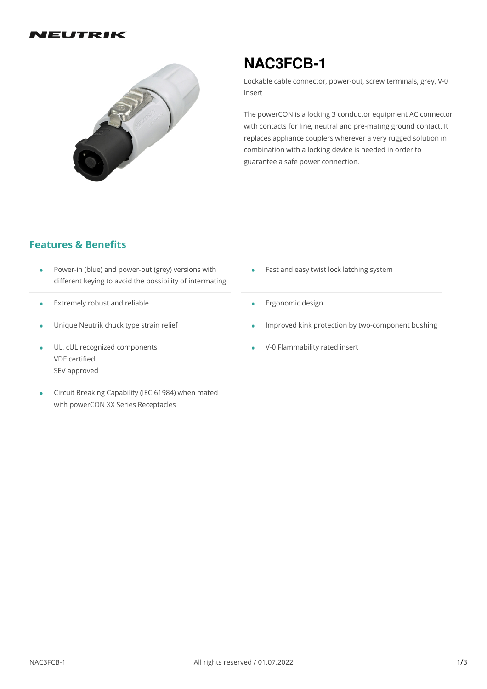#### IEUTRIK



# **NAC3FCB-1**

Lockable cable connector, power-out, screw terminals, grey, V-0 Insert

The powerCON is a locking 3 conductor equipment AC connector with contacts for line, neutral and pre-mating ground contact. It replaces appliance couplers wherever a very rugged solution in combination with a locking device is needed in order to guarantee a safe power connection.

### **Features & Benefits**

- Power-in (blue) and power-out (grey) versions with different keying to avoid the possibility of intermating • •
- $\bullet$  Extremely robust and reliable
- Unique Neutrik chuck type strain relief •
- UL, cUL recognized components VDE certified SEV approved
- Circuit Breaking Capability (IEC 61984) when mated • Circuit Breaking Capability (IEC 61984)<br>with powerCON XX Series Receptacles
- Fast and easy twist lock latching system
- **•** Ergonomic design
- Improved kink protection by two-component bushing
- V-0 Flammability rated insert •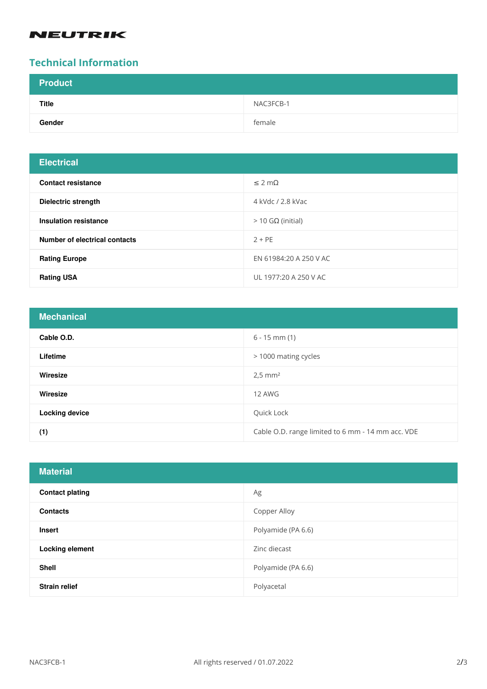## **NEUTRIK**

### **Technical Information**

| <b>Product</b> |           |
|----------------|-----------|
| <b>Title</b>   | NAC3FCB-1 |
| Gender         | female    |

| <b>Electrical</b>                    |                        |
|--------------------------------------|------------------------|
| <b>Contact resistance</b>            | $\leq$ 2 m $\Omega$    |
| <b>Dielectric strength</b>           | 4 kVdc / 2.8 kVac      |
| Insulation resistance                | $>$ 10 GΩ (initial)    |
| <b>Number of electrical contacts</b> | $2 + PE$               |
| <b>Rating Europe</b>                 | EN 61984:20 A 250 V AC |
| <b>Rating USA</b>                    | UL 1977:20 A 250 V AC  |

| <b>Mechanical</b>     |                                                   |
|-----------------------|---------------------------------------------------|
| Cable O.D.            | $6 - 15$ mm $(1)$                                 |
| Lifetime              | > 1000 mating cycles                              |
| Wiresize              | $2,5$ mm <sup>2</sup>                             |
| Wiresize              | 12 AWG                                            |
| <b>Locking device</b> | Quick Lock                                        |
| (1)                   | Cable O.D. range limited to 6 mm - 14 mm acc. VDE |

| <b>Material</b>        |                    |
|------------------------|--------------------|
| <b>Contact plating</b> | Ag                 |
| <b>Contacts</b>        | Copper Alloy       |
| <b>Insert</b>          | Polyamide (PA 6.6) |
| <b>Locking element</b> | Zinc diecast       |
| <b>Shell</b>           | Polyamide (PA 6.6) |
| <b>Strain relief</b>   | Polyacetal         |